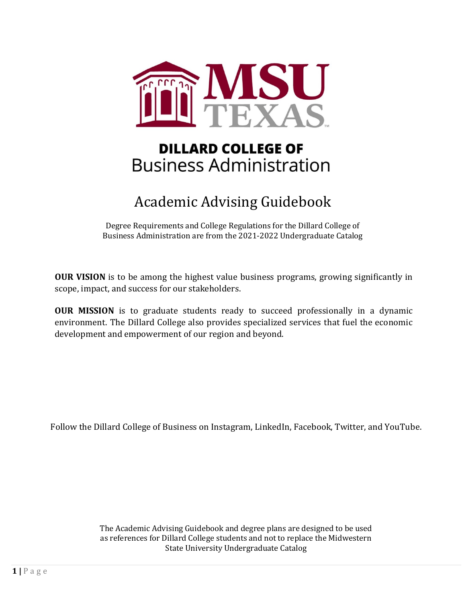

# **DILLARD COLLEGE OF Business Administration**

# Academic Advising Guidebook

Degree Requirements and College Regulations for the Dillard College of Business Administration are from the 2021-2022 Undergraduate Catalog

<span id="page-0-0"></span>**OUR VISION** is to be among the highest value business programs, growing significantly in scope, impact, and success for our stakeholders.

**OUR MISSION** is to graduate students ready to succeed professionally in a dynamic environment. The Dillard College also provides specialized services that fuel the economic development and empowerment of our region and beyond.

Follow the Dillard College of Business on Instagram, LinkedIn, Facebook, Twitter, and YouTube.

The Academic Advising Guidebook and degree plans are designed to be used as references for Dillard College students and not to replace the Midwestern State University Undergraduate Catalog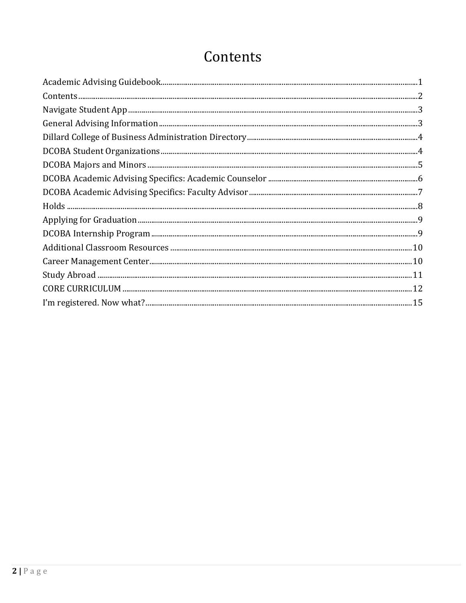# <span id="page-1-0"></span>Contents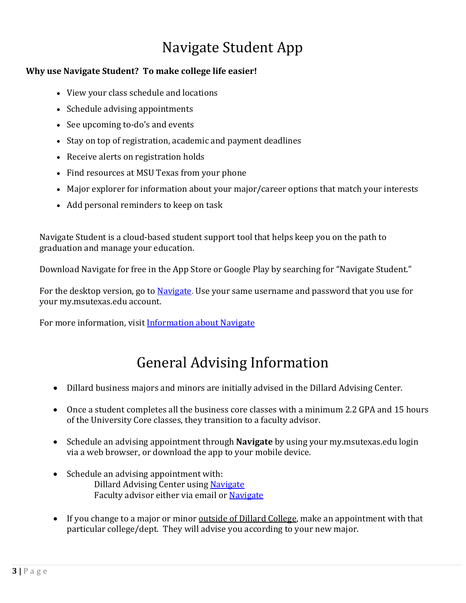# Navigate Student App

# <span id="page-2-0"></span>**Why use Navigate Student? To make college life easier!**

- View your class schedule and locations
- Schedule advising appointments
- See upcoming to-do's and events
- Stay on top of registration, academic and payment deadlines
- Receive alerts on registration holds
- Find resources at MSU Texas from your phone
- Major explorer for information about your major/career options that match your interests
- Add personal reminders to keep on task

Navigate Student is a cloud-based student support tool that helps keep you on the path to graduation and manage your education.

Download Navigate for free in the App Store or Google Play by searching for "Navigate Student."

For the desktop version, go to [Navigate.](https://msutexas.navigate.eab.com/) Use your same username and password that you use for your my.msutexas.edu account.

<span id="page-2-1"></span>For more information, visit [Information about Navigate](https://msutexas.edu/navigate)

# General Advising Information

- Dillard business majors and minors are initially advised in the Dillard Advising Center.
- Once a student completes all the business core classes with a minimum 2.2 GPA and 15 hours of the University Core classes, they transition to a faculty advisor.
- Schedule an advising appointment through **Navigate** by using your my.msutexas.edu login via a web browser, or download the app to your mobile device.
- Schedule an advising appointment with: Dillard Advising Center using [Navigate](https://msutexas.navigate.eab.com/app/%23/authentication/remote/) Faculty advisor either via email or [Navigate](https://msutexas.navigate.eab.com/app/%23/authentication/remote/)
- If you change to a major or minor outside of Dillard College, make an appointment with that particular college/dept. They will advise you according to your new major.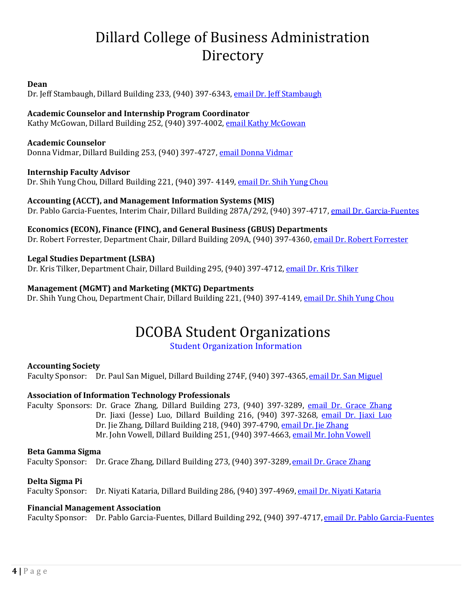# Dillard College of Business Administration **Directory**

#### <span id="page-3-0"></span>**Dean**

Dr. Jeff Stambaugh, Dillard Building 233, (940) 397-6343[, email Dr. Jeff Stambaugh](mailto:jeff.stambaugh@msutexas.edu)

### **Academic Counselor and Internship Program Coordinator**

Kathy McGowan, Dillard Building 252, (940) 397-4002, [email Kathy McGowan](mailto:kathy.mcgowan@msutexas.edu)

#### **Academic Counselor**

Donna Vidmar, Dillard Building 253, (940) 397-4727, [email Donna Vidmar](mailto:donna.vidmar@msutexas.edu)

#### **Internship Faculty Advisor**

Dr. Shih Yung Chou, Dillard Building 221, (940) 397- 4149, [email Dr. Shih Yung Chou](mailto:shihyung.chou@msutexas.edu)

### **Accounting (ACCT), and Management Information Systems (MIS)**

Dr. Pablo Garcia-Fuentes, Interim Chair, Dillard Building 287A/292, (940) 397-4717, [email Dr. Garcia-Fuentes](mailto:pablo.fuentes@msutexas.edu)

#### **Economics (ECON), Finance (FINC), and General Business (GBUS) Departments**

Dr. Robert Forrester, Department Chair, Dillard Building 209A, (940) 397-4360, [email Dr. Robert Forrester](mailto:robert.forrester@msutexas.edu)

#### **Legal Studies Department (LSBA)**

Dr. Kris Tilker, Department Chair, Dillard Building 295, (940) 397-4712, [email Dr. Kris Tilker](mailto:kris.tilker@msutexas.edu)

### **Management (MGMT) and Marketing (MKTG) Departments**

<span id="page-3-1"></span>Dr. Shih Yung Chou, Department Chair, Dillard Building 221, (940) 397-4149[, email Dr. Shih Yung Chou](mailto:shihyung.chou@msutexas.edu)

# DCOBA Student Organizations

### [Student Organization Information](https://msutexas.edu/academics/business/student-organizations.php)

### **Accounting Society**

Faculty Sponsor: Dr. Paul San Miguel, Dillard Building 274F, (940) 397-4365, [email Dr. San Miguel](mailto:paul.sanmiguel@msutexas.edu)

### **Association of Information Technology Professionals**

Faculty Sponsors: Dr. Grace Zhang, Dillard Building 273, (940) 397-3289, [email Dr. Grace Zhang](mailto:emailto:grace.zhang@msutexas.edu) Dr. Jiaxi (Jesse) Luo, Dillard Building 216, (940) 397-3268, [email Dr. Jiaxi Luo](mailto:jiaxi.luo@msutexas.edu) Dr. Jie Zhang, Dillard Building 218, (940) 397-4790, [email Dr. Jie Zhang](mailto:jie.zhang@msutexas.edu) Mr. John Vowell, Dillard Building 251, (940) 397-4663, [email Mr. John Vowell](mailto:john.vowell@msutexas.edu)

#### **Beta Gamma Sigma**

Faculty Sponsor: Dr. Grace Zhang, Dillard Building 273, (940) 397-3289, [email Dr. Grace Zhang](mailto:grace.zhang@msutexas.edu)

### **Delta Sigma Pi**

Faculty Sponsor: Dr. Niyati Kataria, Dillard Building 286, (940) 397-4969, [email Dr. Niyati Kataria](mailto:niyati.kataria@msutexas.edu)

#### **Financial Management Association**

Faculty Sponsor: Dr. Pablo Garcia-Fuentes, Dillard Building 292, (940) 397-4717, [email Dr. Pablo Garcia-Fuentes](mailto:pablo.fuentes@msutexas.edu)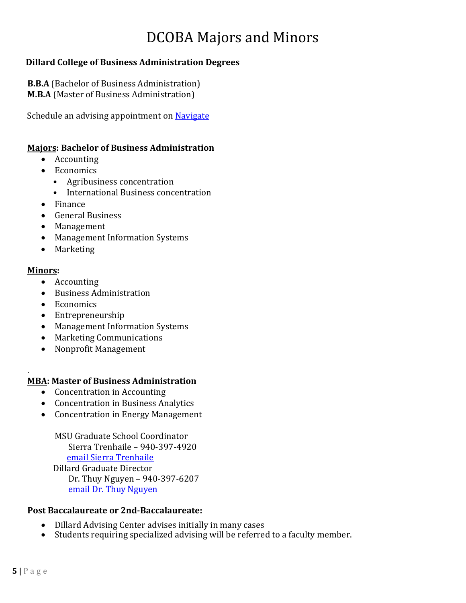# DCOBA Majors and Minors

# <span id="page-4-0"></span>**Dillard College of Business Administration Degrees**

**B.B.A** (Bachelor of Business Administration) **M.B.A** (Master of Business Administration)

Schedule an advising appointment on [Navigate](https://msutexas.navigate.eab.com/app/)

### **Majors: Bachelor of Business Administration**

- Accounting
- Economics
	- Agribusiness concentration
	- International Business concentration
- Finance
- General Business
- Management
- Management Information Systems
- Marketing

### **Minors:**

- Accounting
- Business Administration
- Economics
- Entrepreneurship
- Management Information Systems
- Marketing Communications
- Nonprofit Management

#### . **MBA: Master of Business Administration**

- Concentration in Accounting
- Concentration in Business Analytics
- Concentration in Energy Management

MSU Graduate School Coordinator Sierra Trenhaile – 940-397-4920 [email Sierra Trenhaile](mailto:sierra.trenhaile@msutexas.edu) Dillard Graduate Director Dr. Thuy Nguyen – 940-397-6207 [email Dr. Thuy Nguyen](file://mwsu-fs-01/common/College%20of%20Business%20Administration/Administration/Dillard%20Miscellaneous/Advising%20Resources/_RESOURCES%20FOR%20STUDENTS/Academic%20Advising%20Guidebook/ADA%20for%20web/thuy.nguyen@msutexas.edu)

# **Post Baccalaureate or 2nd-Baccalaureate:**

- Dillard Advising Center advises initially in many cases<br>• Students requiring specialized advising will be referred
- Students requiring specialized advising will be referred to a faculty member.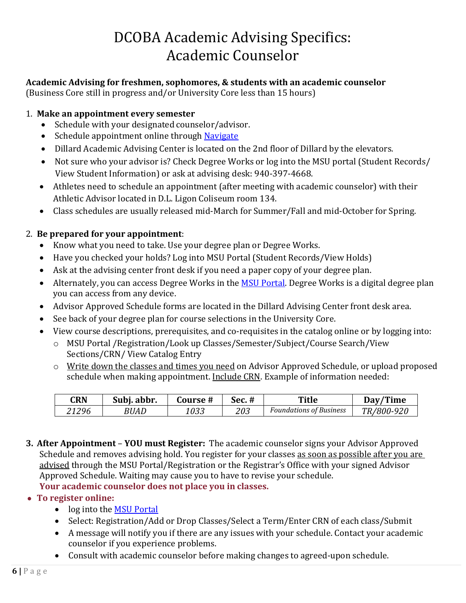# DCOBA Academic Advising Specifics: Academic Counselor

# <span id="page-5-0"></span>**Academic Advising for freshmen, sophomores, & students with an academic counselor**

(Business Core still in progress and/or University Core less than 15 hours)

# 1. **Make an appointment every semester**

- Schedule with your designated counselor/advisor.
- Schedule appointment online through [Navigate](https://msutexas.navigate.eab.com/app/)
- Dillard Academic Advising Center is located on the 2nd floor of Dillard by the elevators.
- Not sure who your advisor is? Check Degree Works or log into the MSU portal (Student Records/ View Student Information) or ask at advising desk: 940-397-4668.
- Athletes need to schedule an appointment (after meeting with academic counselor) with their Athletic Advisor located in D.L. Ligon Coliseum room 134.
- Class schedules are usually released mid-March for Summer/Fall and mid-October for Spring.

# 2. **Be prepared for your appointment**:

- Know what you need to take. Use your degree plan or Degree Works.
- Have you checked your holds? Log into MSU Portal (Student Records/View Holds)
- Ask at the advising center front desk if you need a paper copy of your degree plan.
- Alternately, you can access Degree Works in the [MSU Portal.](https://my.msutexas.edu/web/mycampus/home) Degree Works is a digital degree plan you can access from any device.
- Advisor Approved Schedule forms are located in the Dillard Advising Center front desk area.
- See back of your degree plan for course selections in the University Core.
- View course descriptions, prerequisites, and co-requisites in the catalog online or by logging into:
	- o MSU Portal /Registration/Look up Classes/Semester/Subject/Course Search/View Sections/CRN/ View Catalog Entry
	- o Write down the classes and times you need on Advisor Approved Schedule, or upload proposed schedule when making appointment. Include CRN. Example of information needed:

| CRN   | Subi. abbr. | Course # | <b>Sec.</b> # | Title                          | Day/Time   |
|-------|-------------|----------|---------------|--------------------------------|------------|
| 21296 | <i>BUAD</i> | 033      | 203           | <b>Foundations of Business</b> | TR/800-920 |

**3. After Appointment** – **YOU must Register:** The academic counselor signs your Advisor Approved Schedule and removes advising hold. You register for your classes as soon as possible after you are advised through the MSU Portal/Registration or the Registrar's Office with your signed Advisor Approved Schedule. Waiting may cause you to have to revise your schedule. **Your academic counselor does not place you in classes.**

# • **To register online:**

- log into the [MSU Portal](https://my.msutexas.edu/web/mycampus/home)
- Select: Registration/Add or Drop Classes/Select a Term/Enter CRN of each class/Submit
- A message will notify you if there are any issues with your schedule. Contact your academic counselor if you experience problems.
- Consult with academic counselor before making changes to agreed-upon schedule.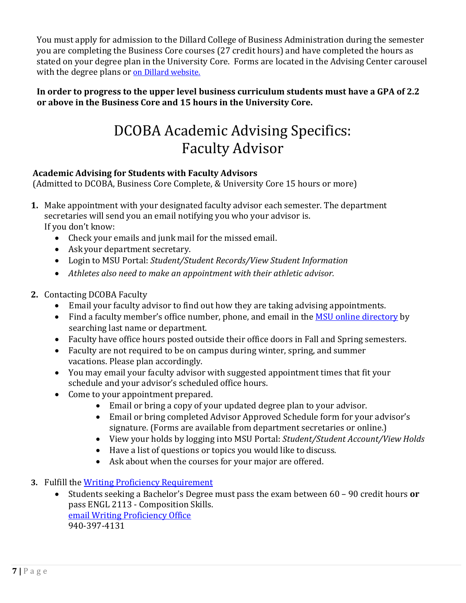You must apply for admission to the Dillard College of Business Administration during the semester you are completing the Business Core courses (27 credit hours) and have completed the hours as stated on your degree plan in the University Core. Forms are located in the Advising Center carousel with the degree plans or [on Dillard website.](https://msutexas.edu/academics/business/advising/dillard-college-admissions.php)

# <span id="page-6-0"></span>**In order to progress to the upper level business curriculum students must have a GPA of 2.2 or above in the Business Core and 15 hours in the University Core.**

# DCOBA Academic Advising Specifics: Faculty Advisor

# **Academic Advising for Students with Faculty Advisors**

(Admitted to DCOBA, Business Core Complete, & University Core 15 hours or more)

- **1.** Make appointment with your designated faculty advisor each semester. The department secretaries will send you an email notifying you who your advisor is. If you don't know:
	- Check your emails and junk mail for the missed email.
	- Ask your department secretary.
	- Login to MSU Portal: *Student/Student Records/View Student Information*
	- *Athletes also need to make an appointment with their athletic advisor.*
- **2.** Contacting DCOBA Faculty
	- Email your faculty advisor to find out how they are taking advising appointments.
	- Find a faculty member's office number, phone, and email in th[e MSU online directory](https://www.msutexas.edu/profiles) by searching last name or department.
	- Faculty have office hours posted outside their office doors in Fall and Spring semesters.
	- Faculty are not required to be on campus during winter, spring, and summer vacations. Please plan accordingly.
	- You may email your faculty advisor with suggested appointment times that fit your schedule and your advisor's scheduled office hours.
	- Come to your appointment prepared.
		- Email or bring a copy of your updated degree plan to your advisor.
		- Email or bring completed Advisor Approved Schedule form for your advisor's signature. (Forms are available from department secretaries or online.)
		- View your holds by logging into MSU Portal: *Student/Student Account/View Holds*
		- Have a list of questions or topics you would like to discuss.
		- Ask about when the courses for your major are offered.
- **3.** Fulfill the <u>Writing Proficiency Requirement</u><br>• Students seeking a Bachelor's Degree
	- Students seeking a Bachelor's Degree must pass the exam between 60 90 credit hours **or**  pass ENGL 2113 - Composition Skills. [email Writing Proficiency Office](mailto:writingprof@msutexas.edu) 940-397-4131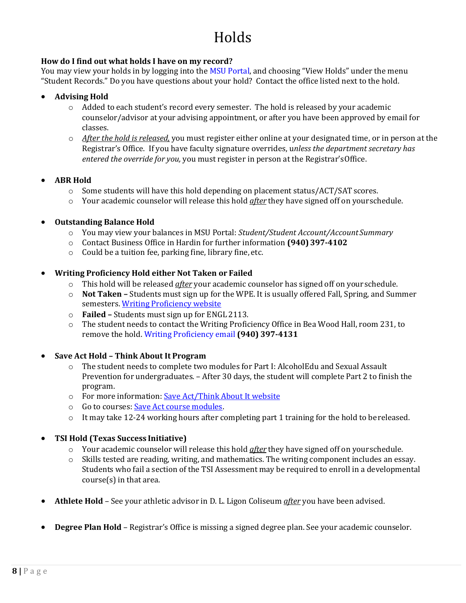# Holds

### <span id="page-7-0"></span>**How do I find out what holds I have on my record?**

You may view your holds in by logging into the [MSU Portal,](https://my.msutexas.edu/web/mycampus/home) and choosing "View Holds" under the menu "Student Records." Do you have questions about your hold? Contact the office listed next to the hold.

- **Advising Hold**
	- o Added to each student's record every semester. The hold is released by your academic counselor/advisor at your advising appointment, or after you have been approved by email for classes.
	- o *After the hold is released,* you must register either online at your designated time, or in person at the Registrar's Office. If you have faculty signature overrides, u*nless the department secretary has entered the override for you,* you must register in person at the Registrar'sOffice.

### • **ABR Hold**

- $\circ$  Some students will have this hold depending on placement status/ACT/SAT scores.
- o Your academic counselor will release this hold *after* they have signed off on yourschedule.

### • **Outstanding Balance Hold**

- o You may view your balances in MSU Portal: *Student/Student Account/Account Summary*
- o Contact Business Office in Hardin for further information **(940) 397-4102**
- o Could be a tuition fee, parking fine, library fine, etc.
- **Writing Proficiency Hold either Not Taken or Failed**
	- o This hold will be released *after* your academic counselor has signed off on your schedule.
	- o **Not Taken –** Students must sign up for the WPE. It is usually offered Fall, Spring, and Summer semesters. [Writing Proficiency website](https://msutexas.edu/academics/wpr/)
	- o **Failed –** Students must sign up for ENGL 2113.
	- o The student needs to contact the Writing Proficiency Office in Bea Wood Hall, room 231, to remove the hold. [Writing Proficiency email](mailto:writingprof@msutexas.edu) **(940) 397-4131**

### • **Save Act Hold – Think About It Program**

- o The student needs to complete two modules for Part I: AlcoholEdu and Sexual Assault Prevention for undergraduates. – After 30 days, the student will complete Part 2 to finish the program.
- o For more information[: Save Act/Think About It website](https://msutexas.edu/student-life/conduct/think-about-it/release.php)
- o Go to courses[: Save Act course modules.](https://admin.fifoundry.net/midwestern_state_university/sign_in)
- $\circ$  It may take 12-24 working hours after completing part 1 training for the hold to be released.
- **TSI Hold (Texas Success Initiative)**
	- o Your academic counselor will release this hold *after* they have signed off on yourschedule.
	- $\circ$  Skills tested are reading, writing, and mathematics. The writing component includes an essay. Students who fail a section of the TSI Assessment may be required to enroll in a developmental course(s) in that area.
- **Athlete Hold**  See your athletic advisor in D. L. Ligon Coliseum *after* you have been advised.
- **Degree Plan Hold**  Registrar's Office is missing a signed degree plan. See your academic counselor.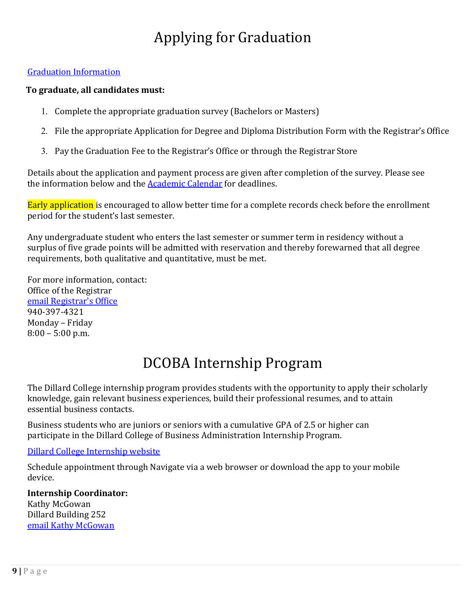# Applying for Graduation

### <span id="page-8-0"></span>[Graduation Information](https://msutexas.edu/registrar/apply-graduation/)

### **To graduate, all candidates must:**

- 1. Complete the appropriate graduation survey (Bachelors or Masters)
- 2. File the appropriate Application for Degree and Diploma Distribution Form with the Registrar's Office
- 3. Pay the Graduation Fee to the Registrar's Office or through the [Registrar](https://secure.touchnet.com/C20137_ustores/web/store_cat.jsp?STOREID=38&CATID=70&SINGLESTORE=true) Store

Details about the application and payment process are given after completion of the survey. Please see the information below and the **Academic Calendar** for deadlines.

Early application is encouraged to allow better time for a complete records check before the enrollment period for the student's last semester.

Any undergraduate student who enters the last semester or summer term in residency without a surplus of five grade points will be admitted with reservation and thereby forewarned that all degree requirements, both qualitative and quantitative, must be met.

For more information, contact: Office of the Registrar [email Registrar](mailto:registrar@msutexas.edu)'s Office 940-397-4321 Monday – Friday 8:00 – 5:00 p.m.

# DCOBA Internship Program

<span id="page-8-1"></span>The Dillard College internship program provides students with the opportunity to apply their scholarly knowledge, gain relevant business experiences, build their professional resumes, and to attain essential business contacts.

Business students who are juniors or seniors with a cumulative GPA of 2.5 or higher can participate in the Dillard College of Business Administration Internship Program.

# [Dillard College Internship website](https://msutexas.edu/academics/business/internship/index)

Schedule appointment through Navigate via a web browser or download the app to your mobile device.

**Internship Coordinator:** Kathy McGowan Dillard Building 252 [email Kathy McGowan](mailto:kathy.mcgowan@msutexas.edu)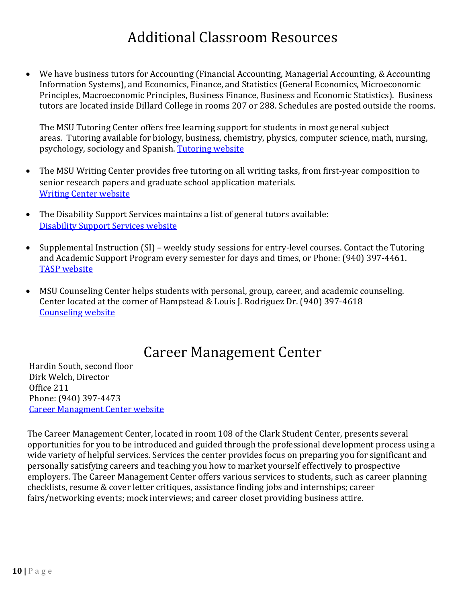# Additional Classroom Resources

<span id="page-9-0"></span>• We have business tutors for Accounting (Financial Accounting, Managerial Accounting, & Accounting Information Systems), and Economics, Finance, and Statistics (General Economics, Microeconomic Principles, Macroeconomic Principles, Business Finance, Business and Economic Statistics). Business tutors are located inside Dillard College in rooms 207 or 288. Schedules are posted outside the rooms.

The MSU Tutoring Center offers free learning support for students in most general subject areas. Tutoring available for biology, business, chemistry, physics, computer science, math, nursing, psychology, sociology and Spanish. [Tutoring website](https://my.msutexas.edu/web/tutoring-services/tutoring-services)

- The MSU Writing Center provides free tutoring on all writing tasks, from first-year composition to senior research papers and graduate school application materials. [Writing Center website](https://msutexas.edu/writing-center/)
- The Disability Support Services maintains a list of general tutors available: [Disability Support Services website](http://www.mwsu.edu/student-life/disability)
- Supplemental Instruction (SI) weekly study sessions for entry-level courses. Contact the Tutoring and Academic Support Program every semester for days and times, or Phone: (940) 397-4461. [TASP website](https://msutexas.edu/academics/tasp/)
- <span id="page-9-1"></span>• MSU Counseling Center helps students with personal, group, career, and academic counseling. Center located at the corner of Hampstead & Louis J. Rodriguez Dr. (940) 397-4618 [Counseling website](http://www.mwsu.edu/student-life/counseling)

# Career Management Center

Hardin South, second floor Dirk Welch, Director Office 211 Phone: (940) 397-4473 [Career Managment Center website](http://www.msutexas.edu/career)

The Career Management Center, located in room 108 of the Clark Student Center, presents several opportunities for you to be introduced and guided through the professional development process using a wide variety of helpful services. Services the center provides focus on preparing you for significant and personally satisfying careers and teaching you how to market yourself effectively to prospective employers. The Career Management Center offers various services to students, such as career planning checklists, resume & cover letter critiques, assistance finding jobs and internships; career fairs/networking events; mock interviews; and career closet providing business attire.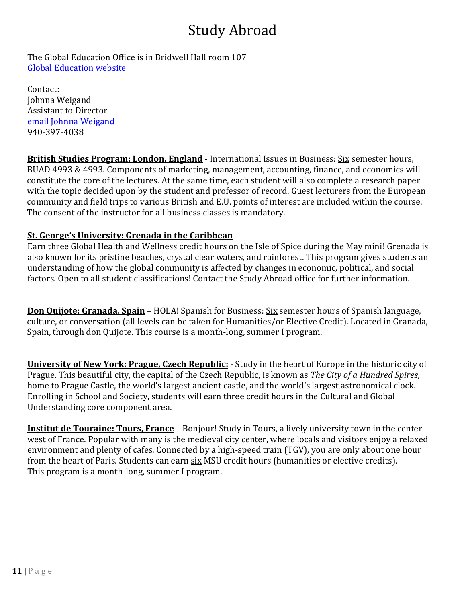# Study Abroad

<span id="page-10-0"></span>The Global Education Office is in Bridwell Hall room 107 [Global Education website](https://msutexas.edu/academics/study-abroad/index.php)

Contact: Johnna Weigand Assistant to Director [email Johnna Weigand](mailto:johnna.weigand@msutexas.edu) 940-397-4038

**British Studies Program: London, England** - International Issues in Business: Six semester hours, BUAD 4993 & 4993. Components of marketing, management, accounting, finance, and economics will constitute the core of the lectures. At the same time, each student will also complete a research paper with the topic decided upon by the student and professor of record. Guest lecturers from the European community and field trips to various British and E.U. points of interest are included within the course. The consent of the instructor for all business classes is mandatory.

# **St. George's University: Grenada in the Caribbean**

Earn three Global Health and Wellness credit hours on the Isle of Spice during the May mini! Grenada is also known for its pristine beaches, crystal clear waters, and rainforest. This program gives students an understanding of how the global community is affected by changes in economic, political, and social factors. Open to all student classifications! Contact the Study Abroad office for further information.

**Don Quijote: Granada, Spain** – HOLA! Spanish for Business: Six semester hours of Spanish language, culture, or conversation (all levels can be taken for Humanities/or Elective Credit). Located in Granada, Spain, through don Quijote. This course is a month-long, summer I program.

**University of New York: Prague, Czech Republic:** - Study in the heart of Europe in the historic city of Prague. This beautiful city, the capital of the Czech Republic, is known as *The City of a Hundred Spires*, home to Prague Castle, the world's largest ancient castle, and the world's largest astronomical clock. Enrolling in School and Society, students will earn three credit hours in the Cultural and Global Understanding core component area.

**Institut de Touraine: Tours, France** – Bonjour! Study in Tours, a lively university town in the centerwest of France. Popular with many is the medieval city center, where locals and visitors enjoy a relaxed environment and plenty of cafes. Connected by a high-speed train (TGV), you are only about one hour from the heart of Paris. Students can earn six MSU credit hours (humanities or elective credits). This program is a month-long, summer I program.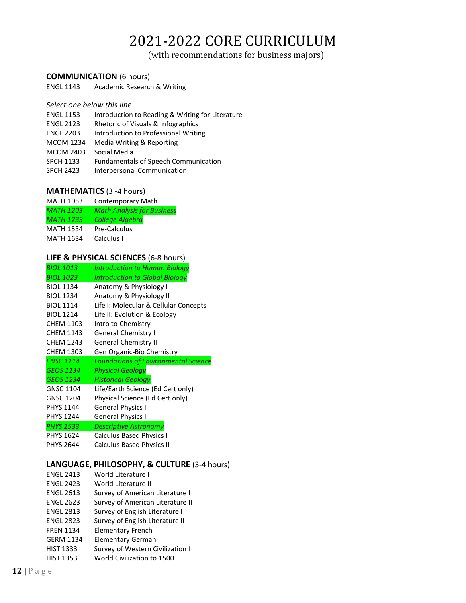# 2021-2022 CORE CURRICULUM

(with recommendations for business majors)

#### <span id="page-11-0"></span>**COMMUNICATION** (6 hours)

ENGL 1143 Academic Research & Writing

#### *Select one below this line*

- ENGL 1153 Introduction to Reading & Writing for Literature
- ENGL 2123 Rhetoric of Visuals & Infographics
- ENGL 2203 Introduction to Professional Writing
- MCOM 1234 Media Writing & Reporting
- MCOM 2403 Social Media
- SPCH 1133 Fundamentals of Speech Communication
- SPCH 2423 Interpersonal Communication

#### **MATHEMATICS** (3 -4 hours)

| <b>MATH 1053</b> | <b>Contemporary Math</b>          |
|------------------|-----------------------------------|
| <b>MATH 1203</b> | <b>Math Analysis for Business</b> |
| MATH 1233        | <b>College Algebra</b>            |
| <b>MATH 1534</b> | Pre-Calculus                      |
| <b>MATH 1634</b> | Calculus I                        |

#### **LIFE & PHYSICAL SCIENCES** (6-8 hours)

| <b>BIOL 1013</b> | Introduction to Human Biology               |
|------------------|---------------------------------------------|
| <b>BIOL 1023</b> | <b>Introduction to Global Biology</b>       |
| <b>BIOL 1134</b> | Anatomy & Physiology I                      |
| <b>BIOL 1234</b> | Anatomy & Physiology II                     |
| <b>BIOL 1114</b> | Life I: Molecular & Cellular Concepts       |
| <b>BIOL 1214</b> | Life II: Evolution & Ecology                |
| <b>CHEM 1103</b> | Intro to Chemistry                          |
| <b>CHFM 1143</b> | <b>General Chemistry I</b>                  |
| <b>CHEM 1243</b> | <b>General Chemistry II</b>                 |
| <b>CHEM 1303</b> | Gen Organic-Bio Chemistry                   |
| <b>ENSC 1114</b> | <b>Foundations of Environmental Science</b> |
|                  |                                             |
| <b>GEOS 1134</b> | <b>Physical Geology</b>                     |
| <b>GEOS 1234</b> | <b>Historical Geology</b>                   |
| GNSC 1104        | Life/Earth Science (Ed Cert only)           |
| GNSC 1204        | Physical Science (Ed Cert only)             |
| <b>PHYS 1144</b> | <b>General Physics I</b>                    |
| <b>PHYS 1244</b> | <b>General Physics I</b>                    |
| <b>PHYS 1533</b> | <b>Descriptive Astronomy</b>                |
| <b>PHYS 1624</b> | <b>Calculus Based Physics I</b>             |
| <b>PHYS 2644</b> | <b>Calculus Based Physics II</b>            |
|                  |                                             |

#### **LANGUAGE, PHILOSOPHY, & CULTURE** (3-4 hours) ENGL 2413 World Literature I

| EINUL 2415       | wonu citerature i                |
|------------------|----------------------------------|
| <b>ENGL 2423</b> | World Literature II              |
| <b>ENGL 2613</b> | Survey of American Literature I  |
| <b>ENGL 2623</b> | Survey of American Literature II |
| <b>ENGL 2813</b> | Survey of English Literature I   |
| <b>ENGL 2823</b> | Survey of English Literature II  |
| <b>FREN 1134</b> | Elementary French I              |
| <b>GERM 1134</b> | Elementary German                |
| <b>HIST 1333</b> | Survey of Western Civilization I |
| <b>HIST 1353</b> | World Civilization to 1500       |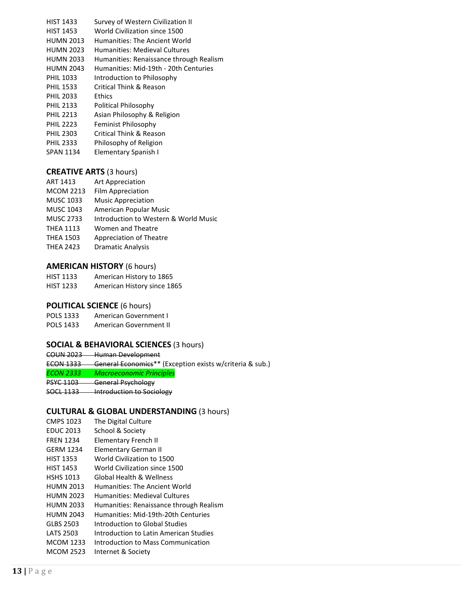| <b>HIST 1433</b> | Survey of Western Civilization II       |
|------------------|-----------------------------------------|
| <b>HIST 1453</b> | World Civilization since 1500           |
| <b>HUMN 2013</b> | Humanities: The Ancient World           |
| <b>HUMN 2023</b> | <b>Humanities: Medieval Cultures</b>    |
| <b>HUMN 2033</b> | Humanities: Renaissance through Realism |
| <b>HUMN 2043</b> | Humanities: Mid-19th - 20th Centuries   |
| <b>PHIL 1033</b> | Introduction to Philosophy              |
| <b>PHIL 1533</b> | <b>Critical Think &amp; Reason</b>      |
| <b>PHIL 2033</b> | <b>Ethics</b>                           |
| <b>PHIL 2133</b> | Political Philosophy                    |
| <b>PHIL 2213</b> | Asian Philosophy & Religion             |
| <b>PHIL 2223</b> | Feminist Philosophy                     |
| <b>PHIL 2303</b> | Critical Think & Reason                 |
| <b>PHIL 2333</b> | Philosophy of Religion                  |

SPAN 1134 Elementary Spanish I

#### **CREATIVE ARTS** (3 hours)

- ART 1413 Art Appreciation
- MCOM 2213 Film Appreciation
- MUSC 1033 Music Appreciation
- MUSC 1043 American Popular Music
- MUSC 2733 Introduction to Western & World Music
- THEA 1113 Women and Theatre
- THEA 1503 Appreciation of Theatre
- THEA 2423 Dramatic Analysis

#### **AMERICAN HISTORY** (6 hours)

HIST 1133 American History to 1865 HIST 1233 American History since 1865

#### **POLITICAL SCIENCE** (6 hours)

POLS 1333 American Government I

POLS 1433 American Government II

#### **SOCIAL & BEHAVIORAL SCIENCES** (3 hours)

COUN 2023 Human Development ECON 1333 General Economics\*\* (Exception exists w/criteria & sub.) *ECON 2333 Macroeconomic Principles* PSYC 1103 General Psychology SOCL 1133 Introduction to Sociology

#### **CULTURAL & GLOBAL UNDERSTANDING** (3 hours)

| <b>CMPS 1023</b> | The Digital Culture                     |
|------------------|-----------------------------------------|
| <b>EDUC 2013</b> | School & Society                        |
| <b>FREN 1234</b> | <b>Elementary French II</b>             |
| <b>GERM 1234</b> | Elementary German II                    |
| <b>HIST 1353</b> | World Civilization to 1500              |
| <b>HIST 1453</b> | World Civilization since 1500           |
| <b>HSHS 1013</b> | Global Health & Wellness                |
| <b>HUMN 2013</b> | Humanities: The Ancient World           |
| <b>HUMN 2023</b> | Humanities: Medieval Cultures           |
| <b>HUMN 2033</b> | Humanities: Renaissance through Realism |
| <b>HUMN 2043</b> | Humanities: Mid-19th-20th Centuries     |
| GLBS 2503        | Introduction to Global Studies          |
| LATS 2503        | Introduction to Latin American Studies  |
| <b>MCOM 1233</b> | Introduction to Mass Communication      |
| <b>MCOM 2523</b> | Internet & Society                      |
|                  |                                         |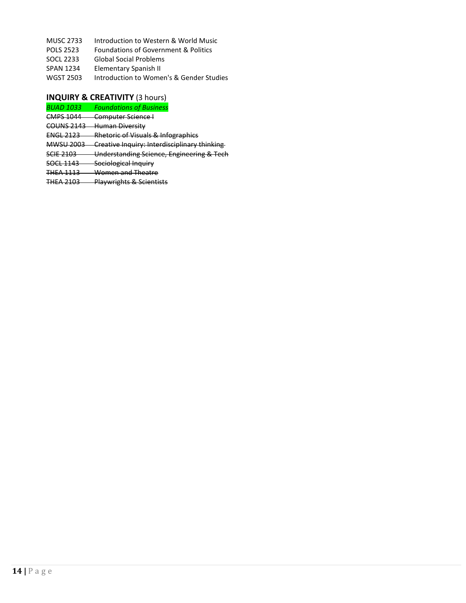- MUSC 2733 Introduction to Western & World Music
- POLS 2523 Foundations of Government & Politics
- SOCL 2233 Global Social Problems
- SPAN 1234 Elementary Spanish II
- WGST 2503 Introduction to Women's & Gender Studies

#### **INQUIRY & CREATIVITY** (3 hours)

- *BUAD 1033 Foundations of Business*
- CMPS 1044 Computer Science I
- COUNS 2143 Human Diversity
- ENGL 2123 Rhetoric of Visuals & Infographics
- MWSU 2003 Creative Inquiry: Interdisciplinary thinking
- SCIE 2103 Understanding Science, Engineering & Tech
- SOCL 1143 Sociological Inquiry
- THEA 1113 Women and Theatre
- THEA 2103 Playwrights & Scientists